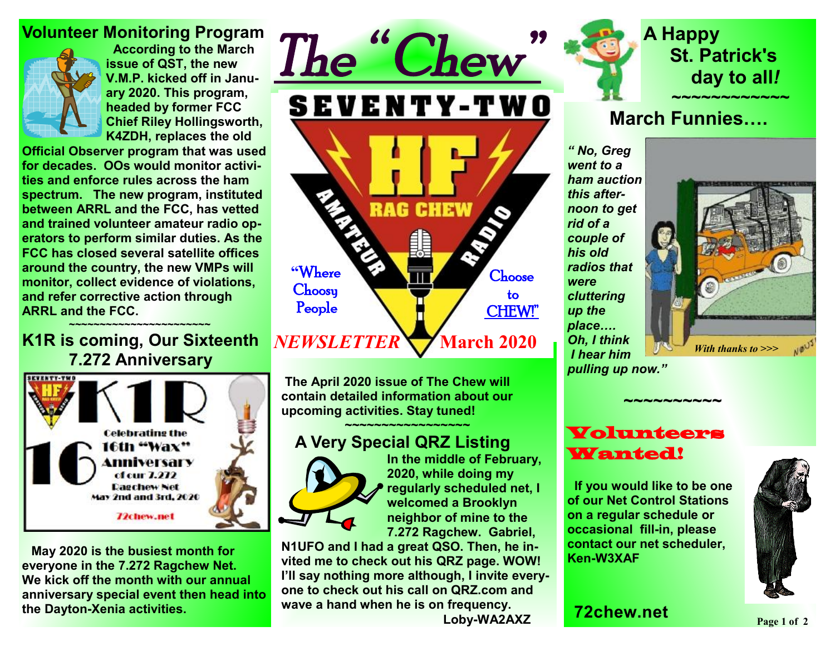#### **Volunteer Monitoring Program**



**According to the March issue of QST, the new V.M.P. kicked off in January 2020. This program, headed by former FCC Chief Riley Hollingsworth, K4ZDH, replaces the old** 

**Official Observer program that was used for decades. OOs would monitor activities and enforce rules across the ham spectrum. The new program, instituted between ARRL and the FCC, has vetted and trained volunteer amateur radio operators to perform similar duties. As the FCC has closed several satellite offices around the country, the new VMPs will monitor, collect evidence of violations, and refer corrective action through ARRL and the FCC.** 

#### ★<del>─</del>──<del>~</del>~~~~~~~~~~~~~~~~~~~~~~~ **K1R is coming, Our Sixteenth**  *NEWSLETTER*   **7.272 Anniversary**



 **May 2020 is the busiest month for everyone in the 7.272 Ragchew Net. We kick off the month with our annual anniversary special event then head into the Dayton-Xenia activities.** 



**The April 2020 issue of The Chew will contain detailed information about our upcoming activities. Stay tuned!** 

★<del>★</del><del>★★★★★★★★★★★★</del>★★★★★★

### **A Very Special QRZ Listing**



**In the middle of February, 2020, while doing my regularly scheduled net, I welcomed a Brooklyn neighbor of mine to the 7.272 Ragchew. Gabriel,** 

**N1UFO and I had a great QSO. Then, he invited me to check out his QRZ page. WOW! I'll say nothing more although, I invite everyone to check out his call on QRZ.com and wave a hand when he is on frequency. Loby-WA2AXZ** 



## **A Happy St. Patrick's day to all***!*  **~~~~~~~~~~~~**

# **March Funnies….**

*" No, Greg went to a ham auction this afternoon to get rid of a couple of his old radios that were cluttering up the place…. Oh, I think I hear him pulling up now."* 



## Volunteers Wanted!

 **~~~~~~~~~~**

 **If you would like to be one of our Net Control Stations on a regular schedule or occasional fill-in, please contact our net scheduler, Ken-W3XAF**



**72chew.net**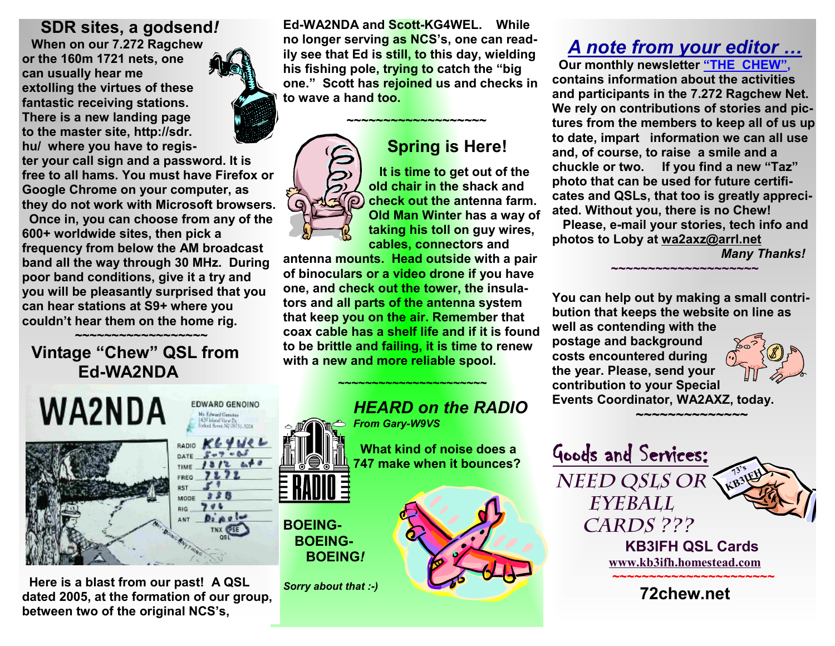#### **SDR sites, a godsend***!*

 **When on our 7.272 Ragchew or the 160m 1721 nets, one can usually hear me extolling the virtues of these fantastic receiving stations. There is a new landing page to the master site, http://sdr. hu/ where you have to regis-**

**ter your call sign and a password. It is free to all hams. You must have Firefox or Google Chrome on your computer, as they do not work with Microsoft browsers.** 

 **Once in, you can choose from any of the 600+ worldwide sites, then pick a frequency from below the AM broadcast band all the way through 30 MHz. During poor band conditions, give it a try and you will be pleasantly surprised that you can hear stations at S9+ where you couldn't hear them on the home rig.** 

#### ★<del>★★★★★★★★★★★★</del>★★★★★★★  **Vintage "Chew" QSL from Ed-WA2NDA**

| WA2NDA | <b>EDWA</b><br>Mr. Ed<br>429 b<br>forked                        |
|--------|-----------------------------------------------------------------|
|        | K<br>RADIO<br>DATE<br>TIME<br>FREQ<br><b>RST</b><br>MODE<br>RIG |
|        | ANT.<br>No: Borec Hill Trived                                   |

 **Here is a blast from our past! A QSL dated 2005, at the formation of our group, between two of the original NCS's,**

**Ed-WA2NDA and Scott-KG4WEL. While no longer serving as NCS's, one can readily see that Ed is still, to this day, wielding his fishing pole, trying to catch the "big one." Scott has rejoined us and checks in to wave a hand too.** 

 **~~~~~~~~~~~~~~~~~~~** 

## **Spring is Here!**

 **It is time to get out of the old chair in the shack and check out the antenna farm. Old Man Winter has a way of taking his toll on guy wires, cables, connectors and** 

**antenna mounts. Head outside with a pair of binoculars or a video drone if you have one, and check out the tower, the insulators and all parts of the antenna system that keep you on the air. Remember that coax cable has a shelf life and if it is found to be brittle and failing, it is time to renew with a new and more reliable spool.** 

**~~~~~~~~~~~~~~~~~~~~~~** 



# *A note from your editor …*

 **Our monthly newsletter "THE CHEW", contains information about the activities and participants in the 7.272 Ragchew Net. We rely on contributions of stories and pictures from the members to keep all of us up to date, impart information we can all use and, of course, to raise a smile and a chuckle or two. If you find a new "Taz" photo that can be used for future certificates and QSLs, that too is greatly appreciated. Without you, there is no Chew! Please, e-mail your stories, tech info and** 

**photos to Loby at [wa2axz@arrl.net](mailto:wa2axz@arrl.net)** *Many Thanks!* 

**You can help out by making a small contribution that keeps the website on line as well as contending with the** 

**~~~~~~~~~~~~~~~~~~~~**

**postage and background costs encountered during the year. Please, send your contribution to your Special Events Coordinator, WA2AXZ, today.** 

 **~~~~~~~~~~~~~~~**